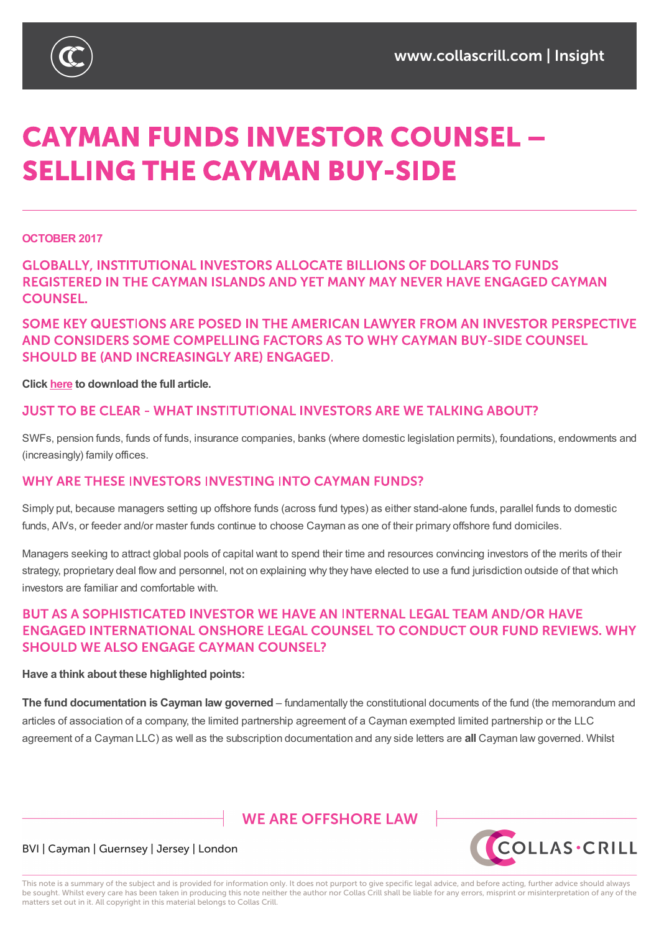

# **CAYMAN FUNDS INVESTOR COUNSEL -SELLING THE CAYMAN BUY-SIDE**

#### **OCTOBER 2017**

## **GLOBALLY, INSTITUTIONAL INVESTORS ALLOCATE BILLIONS OF DOLLARS TO FUNDS** REGISTERED IN THE CAYMAN ISLANDS AND YET MANY MAY NEVER HAVE ENGAGED CAYMAN **COUNSEL.**

## SOME KEY QUESTIONS ARE POSED IN THE AMERICAN LAWYER FROM AN INVESTOR PERSPECTIVE AND CONSIDERS SOME COMPELLING FACTORS AS TO WHY CAYMAN BUY-SIDE COUNSEL **SHOULD BE (AND INCREASINGLY ARE) ENGAGED.**

#### **Click here to download the full article.**

#### **JUST TO BE CLEAR - WHAT INSTITUTIONAL INVESTORS ARE WE TALKING ABOUT?**

SWFs, [pen](https://www.collascrill.com/media/1781/tal_oct_2017_collas_crill_qa-final.pdf)sion funds, funds of funds, insurance companies, banks (where domestic legislation permits), foundations, endowments and (increasingly) family offices.

#### WHY ARE THESE INVESTORS INVESTING INTO CAYMAN FUNDS?

Simply put, because managers setting up offshore funds (across fund types) as either stand-alone funds, parallel funds to domestic funds, AIVs, or feeder and/or master funds continue to choose Cayman as one of their primary offshore fund domiciles.

Managers seeking to attract global pools of capital want to spend their time and resources convincing investors of the merits of their strategy, proprietary deal flow and personnel, not on explaining why they have elected to use a fund jurisdiction outside of that which investors are familiar and comfortable with.

## BUT AS A SOPHISTICATED INVESTOR WE HAVE AN INTERNAL LEGAL TEAM AND/OR HAVE ENGAGED INTERNATIONAL ONSHORE LEGAL COUNSEL TO CONDUCT OUR FUND REVIEWS. WHY **SHOULD WE ALSO ENGAGE CAYMAN COUNSEL?**

#### **Have a think about these highlighted points:**

**The fund documentation is Cayman law governed** – fundamentally the constitutional documents of the fund (the memorandum and articles of association of a company, the limited partnership agreement of a Cayman exempted limited partnership or the LLC agreement of a Cayman LLC) as well as the subscription documentation and any side letters are **all** Cayman law governed. Whilst

# **WE ARE OFFSHORE LAW**



#### BVI | Cayman | Guernsey | Jersey | London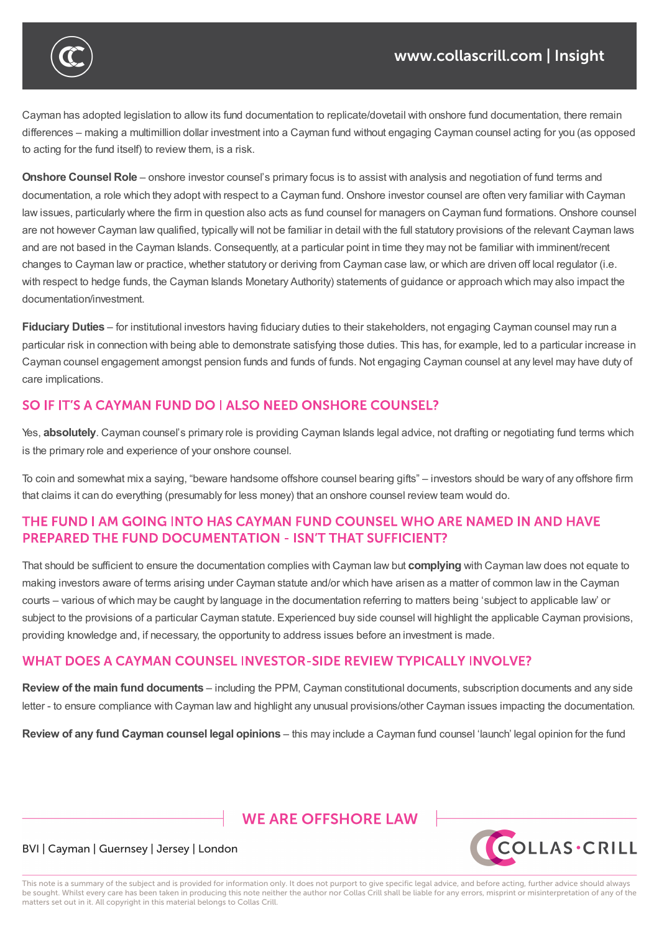

**Have a think about these highlighted points:**

Cayman has adopted legislation to allow its fund documentation to replicate/dovetail with onshore fund documentation, there remain differences – making a multimillion dollar investment into a Cayman fund without engaging Cayman counsel acting for you (as opposed to acting for the fund itself) to review them, is a risk.

**Onshore Counsel Role** – onshore investor counsel's primary focus is to assist with analysis and negotiation of fund terms and documentation, a role which they adopt with respect to a Cayman fund. Onshore investor counsel are often very familiar with Cayman law issues, particularly where the firm in question also acts as fund counsel for managers on Cayman fund formations. Onshore counsel are not however Cayman law qualified, typically will not be familiar in detail with the full statutory provisions of the relevant Cayman laws and are not based in the Cayman Islands. Consequently, at a particular point in time they may not be familiar with imminent/recent changes to Cayman law or practice, whether statutory or deriving from Cayman case law, or which are driven off local regulator (i.e. with respect to hedge funds, the Cayman Islands Monetary Authority) statements of guidance or approach which may also impact the documentation/investment.

**Fiduciary Duties** – for institutional investors having fiduciary duties to their stakeholders, not engaging Cayman counsel may run a particular risk in connection with being able to demonstrate satisfying those duties. This has, for example, led to a particular increase in Cayman counsel engagement amongst pension funds and funds of funds. Not engaging Cayman counsel at any level may have duty of care implications.

# SO IF IT'S A CAYMAN FUND DO I ALSO NEED ONSHORE COUNSEL?

Yes, **absolutely**. Cayman counsel's primary role is providing Cayman Islands legal advice, not drafting or negotiating fund terms which is the primary role and experience of your onshore counsel.

To coin and somewhat mix a saying, "beware handsome offshore counsel bearing gifts" – investors should be wary of any offshore firm that claims it can do everything (presumably for less money) that an onshore counsel review team would do.

## THE FUND I AM GOING INTO HAS CAYMAN FUND COUNSEL WHO ARE NAMED IN AND HAVE **PREPARED THE FUND DOCUMENTATION - ISN'T THAT SUFFICIENT?**

That should be sufficient to ensure the documentation complies with Cayman law but **complying** with Cayman law does not equate to making investors aware of terms arising under Cayman statute and/or which have arisen as a matter of common law in the Cayman courts – various of which may be caught by language in the documentation referring to matters being 'subject to applicable law' or subject to the provisions of a particular Cayman statute. Experienced buy side counsel will highlight the applicable Cayman provisions, providing knowledge and, if necessary, the opportunity to address issues before an investment is made.

## WHAT DOES A CAYMAN COUNSEL INVESTOR-SIDE REVIEW TYPICALLY INVOLVE?

**Review of the main fund documents** – including the PPM, Cayman constitutional documents, subscription documents and any side letter - to ensure compliance with Cayman law and highlight any unusual provisions/other Cayman issues impacting the documentation.

**Review of any fund Cayman counsel legal opinions** – this may include a Cayman fund counsel 'launch' legal opinion for the fund

# **WE ARE OFFSHORE I AW**



#### BVI | Cayman | Guernsey | Jersey | London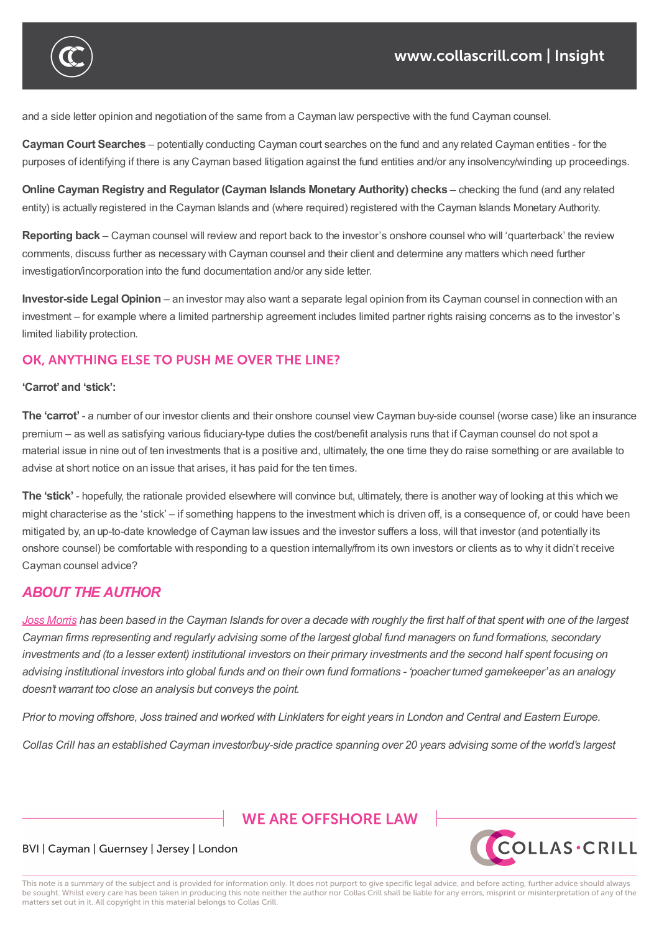

and a side letter opinion and negotiation of the same from a Cayman law perspective with the fund Cayman counsel.

**Cayman Court Searches** – potentially conducting Cayman court searches on the fund and any related Cayman entities - for the purposes of identifying if there is any Cayman based litigation against the fund entities and/or any insolvency/winding up proceedings.

**Online Cayman Registry and Regulator (Cayman Islands Monetary Authority) checks** – checking the fund (and any related entity) is actually registered in the Cayman Islands and (where required) registered with the Cayman Islands Monetary Authority.

**Reporting back** – Cayman counsel will review and report back to the investor's onshore counsel who will 'quarterback' the review comments, discuss further as necessary with Cayman counsel and their client and determine any matters which need further investigation/incorporation into the fund documentation and/or any side letter.

**Investor-side Legal Opinion** – an investor may also want a separate legal opinion from its Cayman counsel in connection with an investment – for example where a limited partnership agreement includes limited partner rights raising concerns as to the investor's limited liability protection.

#### OK, ANYTHING ELSE TO PUSH ME OVER THE LINE?

#### **'Carrot'and 'stick':**

**The 'carrot'** - a number of our investor clients and their onshore counsel view Cayman buy-side counsel (worse case) like an insurance premium – as well as satisfying various fiduciary-type duties the cost/benefit analysis runs that if Cayman counsel do not spot a material issue in nine out of ten investments that is a positive and, ultimately, the one time they do raise something or are available to advise at short notice on an issue that arises, it has paid for the ten times.

**The 'stick'** - hopefully, the rationale provided elsewhere will convince but, ultimately, there is another way of looking at this which we might characterise as the 'stick' – if something happens to the investment which is driven off, is a consequence of, or could have been mitigated by, an up-to-date knowledge of Cayman law issues and the investor suffers a loss, will that investor (and potentially its onshore counsel) be comfortable with responding to a question internally/from its own investors or clients as to why it didn't receive Cayman counsel advice?

### *ABOUT THE AUTHOR*

Joss Morris has been based in the Cayman Islands for over a decade with roughly the first half of that spent with one of the largest Cayman firms representing and regularly advising some of the largest global fund managers on fund formations, secondary investments and (to a lesser extent) institutional investors on their primary investments and the second half spent focusing on [advising](https://www.collascrill.com/who-we-are/m/joss-morris/) institutional investors into global funds and on their own fund formations - 'poacher turned gamekeeper'as an analogy *doesn't warrant too close an analysis but conveys the point.*

Prior to moving offshore, Joss trained and worked with Linklaters for eight years in London and Central and Eastern Europe.

Collas Crill has an established Cayman investor/buy-side practice spanning over 20 years advising some of the world's largest

# **WE ARE OFFSHORE LAW**



#### BVI | Cayman | Guernsey | Jersey | London